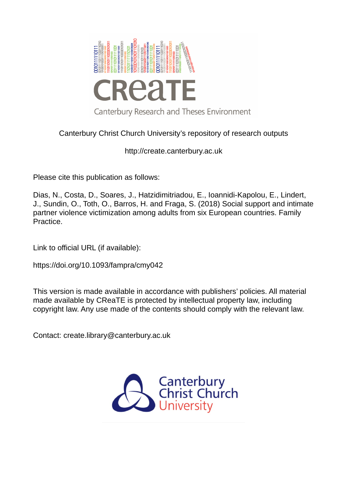

# Canterbury Christ Church University's repository of research outputs

http://create.canterbury.ac.uk

Please cite this publication as follows:

Dias, N., Costa, D., Soares, J., Hatzidimitriadou, E., Ioannidi-Kapolou, E., Lindert, J., Sundin, O., Toth, O., Barros, H. and Fraga, S. (2018) Social support and intimate partner violence victimization among adults from six European countries. Family Practice.

Link to official URL (if available):

https://doi.org/10.1093/fampra/cmy042

This version is made available in accordance with publishers' policies. All material made available by CReaTE is protected by intellectual property law, including copyright law. Any use made of the contents should comply with the relevant law.

Contact: create.library@canterbury.ac.uk

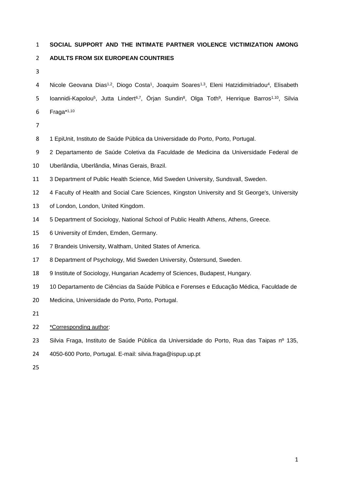### **SOCIAL SUPPORT AND THE INTIMATE PARTNER VIOLENCE VICTIMIZATION AMONG**

## **ADULTS FROM SIX EUROPEAN COUNTRIES**

4 Nicole Geovana Dias<sup>1,2</sup>, Diogo Costa<sup>1</sup>, Joaquim Soares<sup>1,3</sup>, Eleni Hatzidimitriadou<sup>4</sup>, Elisabeth 5 Ioannidi-Kapolou<sup>5</sup>, Jutta Lindert<sup>6,7</sup>, Örjan Sundin<sup>8</sup>, Olga Toth<sup>9</sup>, Henrique Barros<sup>1,10</sup>, Silvia 6 Fraga\*<sup>1,10</sup>

- 
- 1 EpiUnit, Instituto de Saúde Pública da Universidade do Porto, Porto, Portugal.
- 2 Departamento de Saúde Coletiva da Faculdade de Medicina da Universidade Federal de
- Uberlândia, Uberlândia, Minas Gerais, Brazil.
- 3 Department of Public Health Science, Mid Sweden University, Sundsvall, Sweden.
- 4 Faculty of Health and Social Care Sciences, Kingston University and St George's, University
- of London, London, United Kingdom.
- 5 Department of Sociology, National School of Public Health Athens, Athens, Greece.
- 6 University of Emden, Emden, Germany.
- 7 Brandeis University, Waltham, United States of America.
- 8 Department of Psychology, Mid Sweden University, Östersund, Sweden.
- 9 Institute of Sociology, Hungarian Academy of Sciences, Budapest, Hungary.
- 10 Departamento de Ciências da Saúde Pública e Forenses e Educação Médica, Faculdade de
- Medicina, Universidade do Porto, Porto, Portugal.
- 
- \*Corresponding author:
- 23 Silvia Fraga, Instituto de Saúde Pública da Universidade do Porto, Rua das Taipas nº 135,
- 4050-600 Porto, Portugal. E-mail: silvia.fraga@ispup.up.pt
-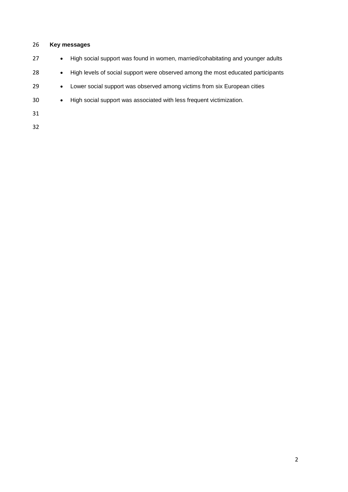## **Key messages**

| 27 | $\bullet$ | High social support was found in women, married/cohabitating and younger adults  |
|----|-----------|----------------------------------------------------------------------------------|
| 28 | $\bullet$ | High levels of social support were observed among the most educated participants |
| 29 | $\bullet$ | Lower social support was observed among victims from six European cities         |
| 30 | $\bullet$ | High social support was associated with less frequent victimization.             |
| 31 |           |                                                                                  |
| 32 |           |                                                                                  |
|    |           |                                                                                  |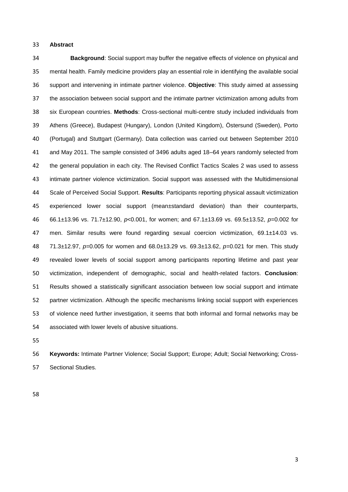#### **Abstract**

 **Background**: Social support may buffer the negative effects of violence on physical and mental health. Family medicine providers play an essential role in identifying the available social support and intervening in intimate partner violence. **Objective**: This study aimed at assessing the association between social support and the intimate partner victimization among adults from six European countries. **Methods**: Cross-sectional multi-centre study included individuals from Athens (Greece), Budapest (Hungary), London (United Kingdom), Östersund (Sweden), Porto (Portugal) and Stuttgart (Germany). Data collection was carried out between September 2010 and May 2011. The sample consisted of 3496 adults aged 18–64 years randomly selected from the general population in each city. The Revised Conflict Tactics Scales 2 was used to assess intimate partner violence victimization. Social support was assessed with the Multidimensional Scale of Perceived Social Support. **Results**: Participants reporting physical assault victimization experienced lower social support (mean±standard deviation) than their counterparts, 66.1±13.96 vs. 71.7±12.90, *p*<0.001, for women; and 67.1±13.69 vs. 69.5±13.52, *p*=0.002 for men. Similar results were found regarding sexual coercion victimization, 69.1±14.03 vs. 71.3±12.97, *p=*0.005 for women and 68.0±13.29 vs. 69.3±13.62, *p=*0.021 for men. This study revealed lower levels of social support among participants reporting lifetime and past year victimization, independent of demographic, social and health-related factors. **Conclusion**: Results showed a statistically significant association between low social support and intimate partner victimization. Although the specific mechanisms linking social support with experiences of violence need further investigation, it seems that both informal and formal networks may be associated with lower levels of abusive situations.

 **Keywords:** Intimate Partner Violence; Social Support; Europe; Adult; Social Networking; Cross-Sectional Studies.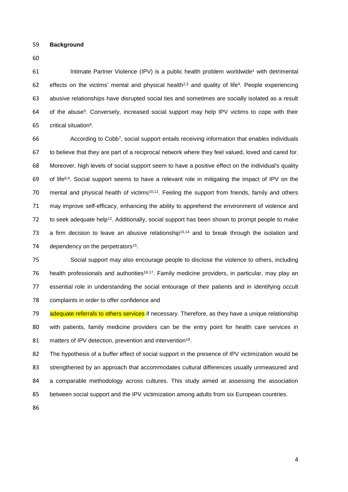59 **Background**

60

61 Intimat[e](#page-15-0) Partner Violence (IPV) is a public health problem worldwide<sup>1</sup> with detrimental 62 effects on the victims' mental and physical health<sup>[2,](#page-15-1)[3](#page-15-2)</sup> and quality of life<sup>[4](#page-15-3)</sup>. People experiencing 63 abusive relationships have disrupted social ties and sometimes are socially isolated as a result 64 of th[e](#page-15-4) abuse<sup>5</sup>. Conversely, increased social support may help IPV victims to cope with their  $65$  $65$  critical situation<sup>6</sup>.

66 66 66 According to Co[b](#page-15-6)b<sup>7</sup>, social support entails receiving information that enables individuals 67 to believe that they are part of a reciprocal network where they feel valued, loved and cared for. 68 Moreover, high levels of social support seem to have a positive effect on the individual's quality 69 of life<sup>[8,](#page-15-7)[9](#page-15-8)</sup>. Social support seems to have a relevant role in mitigating the impact of IPV on the 70 mental and physical health of victims<sup>[10,](#page-15-9)[11](#page-15-10)</sup>. Feeling the support from friends, family and others 71 may improve self-efficacy, enhancing the ability to apprehend the environment of violence and 72 to seek adequate help<sup>[12](#page-16-0)</sup>. Additionally, social support has been shown to prompt people to make 73 a firm decision to leave an abusive relationship<sup>[13,](#page-16-1)[14](#page-16-2)</sup> and to break through the isolation and 74 dependency on the perpetrators<sup>[15](#page-16-3)</sup>.

 Social support may also encourage people to disclose the violence to others, including 76 health professionals and authorities<sup>[16,](#page-16-4)[17](#page-16-5)</sup>. Family medicine providers, in particular, may play an essential role in understanding the social entourage of their patients and in identifying occult complaints in order to offer confidence and

79 adequate referrals to others services if necessary. Therefore, as they have a unique relationship 80 with patients, family medicine providers can be the entry point for health care services in 81 matters of IPV detection, prevention and intervention<sup>[18](#page-16-6)</sup>.

 The hypothesis of a buffer effect of social support in the presence of IPV victimization would be strengthened by an approach that accommodates cultural differences usually unmeasured and a comparable methodology across cultures. This study aimed at assessing the association between social support and the IPV victimization among adults from six European countries.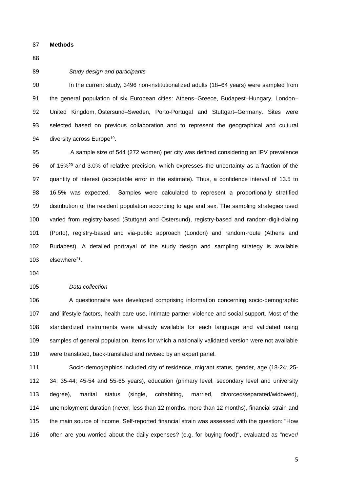**Methods**

#### *Study design and participants*

 In the current study, 3496 non-institutionalized adults (18–64 years) were sampled from the general population of six European cities: Athens–Greece, Budapest–Hungary, London– United Kingdom, Östersund–Sweden, Porto-Portugal and Stuttgart–Germany. Sites were selected based on previous collaboration and to represent the geographical and cultural 94 diversity across Europe<sup>[19](#page-16-7)</sup>.

 A sample size of 544 (272 women) per city was defined considering an IPV prevalence 96 of 15%<sup>[20](#page-16-8)</sup> and 3.0% of relative precision, which expresses the uncertainty as a fraction of the quantity of interest (acceptable error in the estimate). Thus, a confidence interval of 13.5 to 16.5% was expected. Samples were calculated to represent a proportionally stratified distribution of the resident population according to age and sex. The sampling strategies used varied from registry-based (Stuttgart and Östersund), registry-based and random-digit-dialing (Porto), registry-based and via-public approach (London) and random-route (Athens and Budapest). A detailed portrayal of the study design and sampling strategy is available 103 elsewhere<sup>[21](#page-16-9)</sup>.

### *Data collection*

 A questionnaire was developed comprising information concerning socio-demographic and lifestyle factors, health care use, intimate partner violence and social support. Most of the standardized instruments were already available for each language and validated using samples of general population. Items for which a nationally validated version were not available were translated, back-translated and revised by an expert panel.

 Socio-demographics included city of residence, migrant status, gender, age (18-24; 25- 34; 35-44; 45-54 and 55-65 years), education (primary level, secondary level and university degree), marital status (single, cohabiting, married, divorced/separated/widowed), unemployment duration (never, less than 12 months, more than 12 months), financial strain and the main source of income. Self-reported financial strain was assessed with the question: "How often are you worried about the daily expenses? (e.g. for buying food)", evaluated as "never/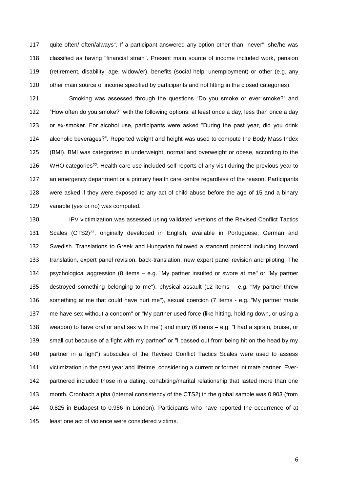quite often/ often/always". If a participant answered any option other than "never", she/he was classified as having "financial strain". Present main source of income included work, pension (retirement, disability, age, widow/er), benefits (social help, unemployment) or other (e.g. any 120 other main source of income specified by participants and not fitting in the closed categories).

 Smoking was assessed through the questions "Do you smoke or ever smoke?" and "How often do you smoke?" with the following options: at least once a day, less than once a day or ex-smoker. For alcohol use, participants were asked "During the past year, did you drink alcoholic beverages?". Reported weight and height was used to compute the Body Mass Index (BMI). BMI was categorized in underweight, normal and overweight or obese, according to the 126 WHO categories<sup>[22](#page-16-10)</sup>. Health care use included self-reports of any visit during the previous year to an emergency department or a primary health care centre regardless of the reason. Participants were asked if they were exposed to any act of child abuse before the age of 15 and a binary variable (yes or no) was computed.

 IPV victimization was assessed using validated versions of the Revised Conflict Tactics 131 Scales (CTS2)<sup>[23](#page-16-11)</sup>, originally developed in English, available in Portuguese, German and Swedish. Translations to Greek and Hungarian followed a standard protocol including forward translation, expert panel revision, back-translation, new expert panel revision and piloting. The psychological aggression (8 items – e.g. "My partner insulted or swore at me" or "My partner destroyed something belonging to me"), physical assault (12 items – e.g. "My partner threw something at me that could have hurt me"), sexual coercion (7 items - e.g. "My partner made me have sex without a condom" or "My partner used force (like hitting, holding down, or using a weapon) to have oral or anal sex with me") and injury (6 items – e.g. "I had a sprain, bruise, or small cut because of a fight with my partner" or "I passed out from being hit on the head by my partner in a fight") subscales of the Revised Conflict Tactics Scales were used to assess victimization in the past year and lifetime, considering a current or former intimate partner. Ever- partnered included those in a dating, cohabiting/marital relationship that lasted more than one month. Cronbach alpha (internal consistency of the CTS2) in the global sample was 0.903 (from 0.825 in Budapest to 0.956 in London). Participants who have reported the occurrence of at least one act of violence were considered victims.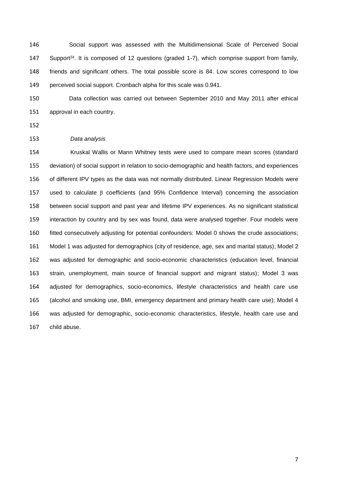Social support was assessed with the Multidimensional Scale of Perceived Social 147 Support<sup>[24](#page-17-0)</sup>. It is composed of 12 questions (graded 1-7), which comprise support from family, friends and significant others. The total possible score is 84. Low scores correspond to low perceived social support. Cronbach alpha for this scale was 0.941.

 Data collection was carried out between September 2010 and May 2011 after ethical approval in each country.

#### *Data analysis*

 Kruskal Wallis or Mann Whitney tests were used to compare mean scores (standard deviation) of social support in relation to socio-demographic and health factors, and experiences of different IPV types as the data was not normally distributed. Linear Regression Models were used to calculate β coefficients (and 95% Confidence Interval) concerning the association between social support and past year and lifetime IPV experiences. As no significant statistical interaction by country and by sex was found, data were analysed together. Four models were fitted consecutively adjusting for potential confounders: Model 0 shows the crude associations; Model 1 was adjusted for demographics (city of residence, age, sex and marital status); Model 2 was adjusted for demographic and socio-economic characteristics (education level, financial strain, unemployment, main source of financial support and migrant status); Model 3 was adjusted for demographics, socio-economics, lifestyle characteristics and health care use (alcohol and smoking use, BMI, emergency department and primary health care use); Model 4 was adjusted for demographic, socio-economic characteristics, lifestyle, health care use and child abuse.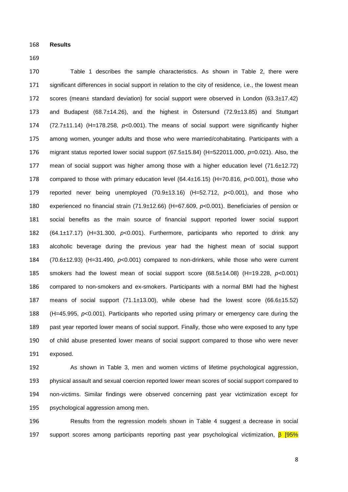**Results**

 Table 1 describes the sample characteristics. As shown in Table 2, there were 171 significant differences in social support in relation to the city of residence, i.e., the lowest mean 172 scores (mean± standard deviation) for social support were observed in London (63.3±17.42) and Budapest (68.7±14.26), and the highest in Östersund (72.9±13.85) and Stuttgart (72.7±11.14) (H=178.258, *p*<0.001). The means of social support were significantly higher among women, younger adults and those who were married/cohabitating. Participants with a migrant status reported lower social support (67.5±15.84) (H=522011.000, *p*=0.021). Also, the 177 mean of social support was higher among those with a higher education level  $(71.6\pm 12.72)$  compared to those with primary education level (64.4±16.15) (H=70.816, *p*<0.001), those who reported never being unemployed (70.9±13.16) (H=52.712, *p*<0.001), and those who experienced no financial strain (71.9±12.66) (H=67.609, *p*<0.001). Beneficiaries of pension or social benefits as the main source of financial support reported lower social support (64.1±17.17) (H=31.300, *p*<0.001). Furthermore, participants who reported to drink any alcoholic beverage during the previous year had the highest mean of social support (70.6±12.93) (H=31.490, *p*<0.001) compared to non-drinkers, while those who were current smokers had the lowest mean of social support score (68.5±14.08) (H=19.228, *p*<0.001) compared to non-smokers and ex-smokers. Participants with a normal BMI had the highest means of social support (71.1±13.00), while obese had the lowest score (66.6±15.52) (H=45.995, *p*<0.001). Participants who reported using primary or emergency care during the past year reported lower means of social support. Finally, those who were exposed to any type of child abuse presented lower means of social support compared to those who were never exposed.

 As shown in Table 3, men and women victims of lifetime psychological aggression, physical assault and sexual coercion reported lower mean scores of social support compared to non-victims. Similar findings were observed concerning past year victimization except for psychological aggression among men.

 Results from the regression models shown in Table 4 suggest a decrease in social support scores among participants reporting past year psychological victimization, β [95%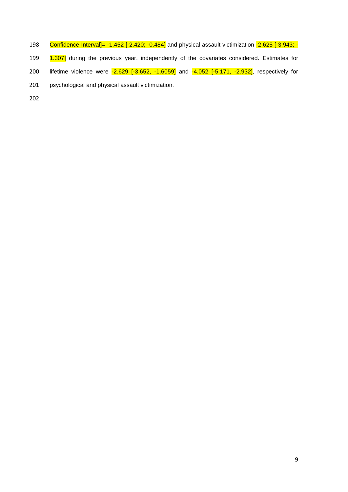- 198 Confidence Interval]= -1.452 [-2.420; -0.484] and physical assault victimization -2.625 [-3.943; -
- 199 1.307] during the previous year, independently of the covariates considered. Estimates for
- 200 lifetime violence were -2.629 [-3.652, -1.6059] and -4.052 [-5.171, -2.932], respectively for
- 201 psychological and physical assault victimization.
- 202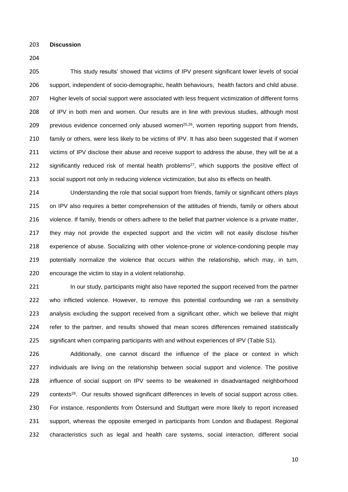**Discussion**

 This study results' showed that victims of IPV present significant lower levels of social support, independent of socio-demographic, health behaviours, health factors and child abuse. Higher levels of social support were associated with less frequent victimization of different forms 208 of IPV in both men and women. Our results are in line with previous studies, although most 209 previous evidence concerned only abused women<sup>[25,](#page-17-1)[26](#page-17-2)</sup>, women reporting support from friends, family or others, were less likely to be victims of IPV. It has also been suggested that if women 211 victims of IPV disclose their abuse and receive support to address the abuse, they will be at a 212 significantly reduced risk of mental health problems<sup>[27](#page-17-3)</sup>, which supports the positive effect of social support not only in reducing violence victimization, but also its effects on health.

 Understanding the role that social support from friends, family or significant others plays 215 on IPV also requires a better comprehension of the attitudes of friends, family or others about 216 violence. If family, friends or others adhere to the belief that partner violence is a private matter, they may not provide the expected support and the victim will not easily disclose his/her experience of abuse. Socializing with other violence-prone or violence-condoning people may potentially normalize the violence that occurs within the relationship, which may, in turn, encourage the victim to stay in a violent relationship.

221 In our study, participants might also have reported the support received from the partner who inflicted violence. However, to remove this potential confounding we ran a sensitivity analysis excluding the support received from a significant other, which we believe that might refer to the partner, and results showed that mean scores differences remained statistically significant when comparing participants with and without experiences of IPV (Table S1).

 Additionally, one cannot discard the influence of the place or context in which 227 individuals are living on the relationship between social support and violence. The positive influence of social support on IPV seems to be weakened in disadvantaged neighborhood 229 contexts<sup>[28](#page-17-4)</sup>. Our results showed significant differences in levels of social support across cities. For instance, respondents from Östersund and Stuttgart were more likely to report increased support, whereas the opposite emerged in participants from London and Budapest. Regional characteristics such as legal and health care systems, social interaction, different social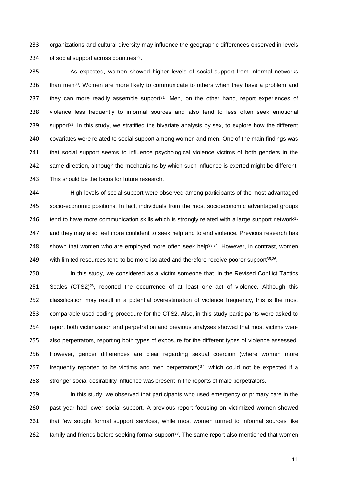organizations and cultural diversity may influence the geographic differences observed in levels 234 of social support across countries<sup>[29](#page-17-5)</sup>.

 As expected, women showed higher levels of social support from informal networks 236 than men<sup>[30](#page-17-6)</sup>. Women are more likely to communicate to others when they have a problem and 237 they can more readily assemble support. Men, on the other hand, report experiences of violence less frequently to informal sources and also tend to less often seek emotional support<sup>[32](#page-17-8)</sup>. In this study, we stratified the bivariate analysis by sex, to explore how the different covariates were related to social support among women and men. One of the main findings was that social support seems to influence psychological violence victims of both genders in the same direction, although the mechanisms by which such influence is exerted might be different. This should be the focus for future research.

 High levels of social support were observed among participants of the most advantaged socio-economic positions. In fact, individuals from the most socioeconomic advantaged groups 246 tend to have more communication skills which is strongly related with a large support network<sup>[11](#page-15-10)</sup> and they may also feel more confident to seek help and to end violence. Previous research has 248 shown that women who are employed more often seek help<sup>[33,](#page-17-9)[34](#page-17-10)</sup>. However, in contrast, women 249 with limited resources tend to be more isolated and therefore receive poorer support<sup>[35,](#page-18-0)[36](#page-18-1)</sup>.

250 In this study, we considered as a victim someone that, in the Revised Conflict Tactics Scales (CTS2)<sup>[23](#page-16-11)</sup>, reported the occurrence of at least one act of violence. Although this classification may result in a potential overestimation of violence frequency, this is the most comparable used coding procedure for the CTS2. Also, in this study participants were asked to report both victimization and perpetration and previous analyses showed that most victims were also perpetrators, reporting both types of exposure for the different types of violence assessed. However, gender differences are clear regarding sexual coercion (where women more 257 frequently reported to be victims and men perpetrators), which could not be expected if a stronger social desirability influence was present in the reports of male perpetrators.

 In this study, we observed that participants who used emergency or primary care in the past year had lower social support. A previous report focusing on victimized women showed that few sought formal support services, while most women turned to informal sources like 262 family and friends before seeking formal support<sup>[38](#page-18-3)</sup>. The same report also mentioned that women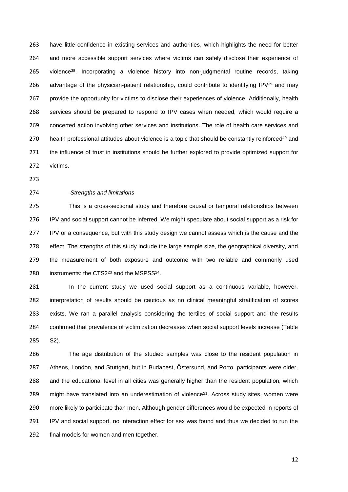have little confidence in existing services and authorities, which highlights the need for better and more accessible support services where victims can safely disclose their experience of 265 violence<sup>[38](#page-18-3)</sup>. Incorporating a violence history into non-judgmental routine records, taking 266 advantage of the physician-patient relationship, could contribute to identifying IPV $^{39}$  $^{39}$  $^{39}$  and may provide the opportunity for victims to disclose their experiences of violence. Additionally, health services should be prepared to respond to IPV cases when needed, which would require a concerted action involving other services and institutions. The role of health care services and 270 health professional attitudes about violence is a topic that should be constantly reinforced<sup>[40](#page-18-5)</sup> and the influence of trust in institutions should be further explored to provide optimized support for victims.

#### *Strengths and limitations*

 This is a cross-sectional study and therefore causal or temporal relationships between IPV and social support cannot be inferred. We might speculate about social support as a risk for IPV or a consequence, but with this study design we cannot assess which is the cause and the effect. The strengths of this study include the large sample size, the geographical diversity, and the measurement of both exposure and outcome with two reliable and commonly used 280 instruments: the CTS2 $^{23}$  $^{23}$  $^{23}$  and the MSPSS $^{24}$  $^{24}$  $^{24}$ .

281 In the current study we used social support as a continuous variable, however, interpretation of results should be cautious as no clinical meaningful stratification of scores exists. We ran a parallel analysis considering the tertiles of social support and the results confirmed that prevalence of victimization decreases when social support levels increase (Table S2).

 The age distribution of the studied samples was close to the resident population in Athens, London, and Stuttgart, but in Budapest, Östersund, and Porto, participants were older, and the educational level in all cities was generally higher than the resident population, which  $\ldots$  might have translated into an underestimation of violence<sup>[21](#page-16-9)</sup>. Across study sites, women were more likely to participate than men. Although gender differences would be expected in reports of IPV and social support, no interaction effect for sex was found and thus we decided to run the final models for women and men together.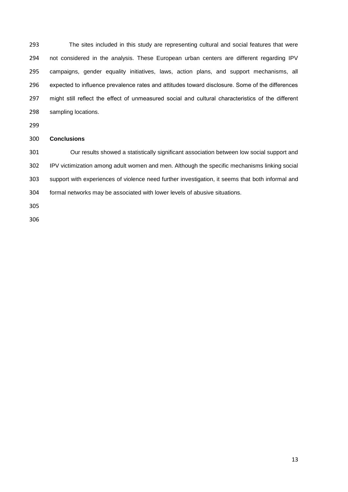The sites included in this study are representing cultural and social features that were not considered in the analysis. These European urban centers are different regarding IPV campaigns, gender equality initiatives, laws, action plans, and support mechanisms, all expected to influence prevalence rates and attitudes toward disclosure. Some of the differences might still reflect the effect of unmeasured social and cultural characteristics of the different sampling locations.

## **Conclusions**

 Our results showed a statistically significant association between low social support and IPV victimization among adult women and men. Although the specific mechanisms linking social support with experiences of violence need further investigation, it seems that both informal and formal networks may be associated with lower levels of abusive situations.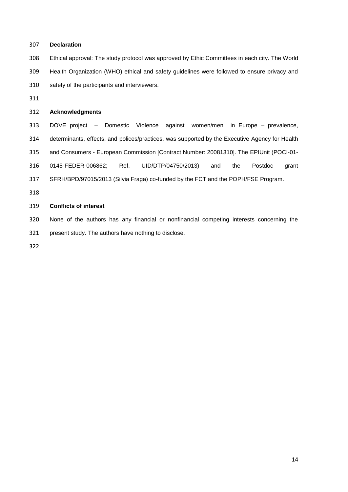| 307 | <b>Declaration</b>                                                                             |  |  |  |  |  |  |
|-----|------------------------------------------------------------------------------------------------|--|--|--|--|--|--|
| 308 | Ethical approval: The study protocol was approved by Ethic Committees in each city. The World  |  |  |  |  |  |  |
| 309 | Health Organization (WHO) ethical and safety guidelines were followed to ensure privacy and    |  |  |  |  |  |  |
| 310 | safety of the participants and interviewers.                                                   |  |  |  |  |  |  |
| 311 |                                                                                                |  |  |  |  |  |  |
| 312 | <b>Acknowledgments</b>                                                                         |  |  |  |  |  |  |
| 313 | DOVE project - Domestic Violence against women/men in Europe - prevalence,                     |  |  |  |  |  |  |
| 314 | determinants, effects, and polices/practices, was supported by the Executive Agency for Health |  |  |  |  |  |  |
| 315 | and Consumers - European Commission [Contract Number: 20081310]. The EPIUnit (POCI-01-         |  |  |  |  |  |  |
| 316 | 0145-FEDER-006862;<br>Ref.<br>UID/DTP/04750/2013)<br>and<br>the<br>Postdoc<br>grant            |  |  |  |  |  |  |
| 317 | SFRH/BPD/97015/2013 (Silvia Fraga) co-funded by the FCT and the POPH/FSE Program.              |  |  |  |  |  |  |
| 318 |                                                                                                |  |  |  |  |  |  |
| 319 | <b>Conflicts of interest</b>                                                                   |  |  |  |  |  |  |
|     |                                                                                                |  |  |  |  |  |  |

 None of the authors has any financial or nonfinancial competing interests concerning the present study. The authors have nothing to disclose.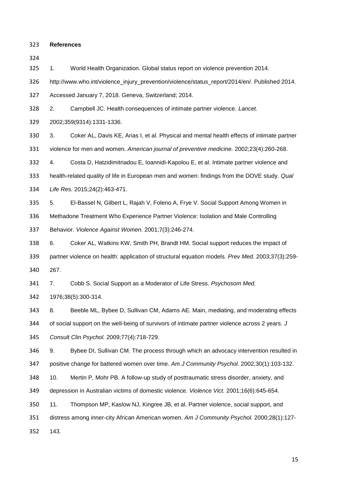**References**

<span id="page-15-0"></span>1. World Health Organization. Global status report on violence prevention 2014.

http://www.who.int/violence\_injury\_prevention/violence/status\_report/2014/en/. Published 2014.

Accessed January 7, 2018. Geneva, Switzerland; 2014.

<span id="page-15-1"></span>2. Campbell JC. Health consequences of intimate partner violence. *Lancet.* 

2002;359(9314):1331-1336.

<span id="page-15-2"></span> 3. Coker AL, Davis KE, Arias I, et al. Physical and mental health effects of intimate partner violence for men and women. *American journal of preventive medicine.* 2002;23(4):260-268.

<span id="page-15-3"></span>4. Costa D, Hatzidimitriadou E, Ioannidi-Kapolou E, et al. Intimate partner violence and

 health-related quality of life in European men and women: findings from the DOVE study. *Qual Life Res.* 2015;24(2):463-471.

<span id="page-15-4"></span>5. El-Bassel N, Gilbert L, Rajah V, Foleno A, Frye V. Social Support Among Women in

Methadone Treatment Who Experience Partner Violence: Isolation and Male Controlling

Behavior. *Violence Against Women.* 2001;7(3):246-274.

<span id="page-15-5"></span>6. Coker AL, Watkins KW, Smith PH, Brandt HM. Social support reduces the impact of

 partner violence on health: application of structural equation models. *Prev Med.* 2003;37(3):259- 267.

<span id="page-15-6"></span>7. Cobb S. Social Support as a Moderator of Life Stress. *Psychosom Med.* 

1976;38(5):300-314.

<span id="page-15-7"></span> 8. Beeble ML, Bybee D, Sullivan CM, Adams AE. Main, mediating, and moderating effects of social support on the well-being of survivors of intimate partner violence across 2 years. *J Consult Clin Psychol.* 2009;77(4):718-729.

<span id="page-15-8"></span> 9. Bybee DI, Sullivan CM. The process through which an advocacy intervention resulted in positive change for battered women over time. *Am J Community Psychol.* 2002;30(1):103-132.

<span id="page-15-9"></span>10. Mertin P, Mohr PB. A follow-up study of posttraumatic stress disorder, anxiety, and

depression in Australian victims of domestic violence. *Violence Vict.* 2001;16(6):645-654.

<span id="page-15-10"></span>11. Thompson MP, Kaslow NJ, Kingree JB, et al. Partner violence, social support, and

distress among inner-city African American women. *Am J Community Psychol.* 2000;28(1):127-

143.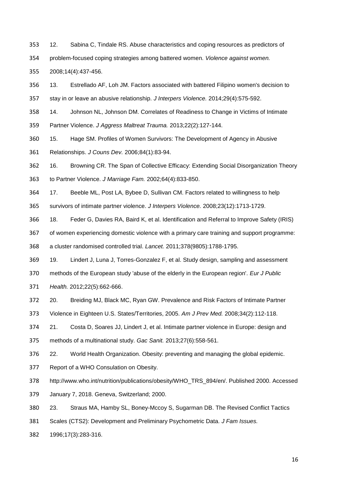- <span id="page-16-0"></span>12. Sabina C, Tindale RS. Abuse characteristics and coping resources as predictors of
- problem-focused coping strategies among battered women. *Violence against women.*

2008;14(4):437-456.

- <span id="page-16-1"></span>13. Estrellado AF, Loh JM. Factors associated with battered Filipino women's decision to
- stay in or leave an abusive relationship. *J Interpers Violence.* 2014;29(4):575-592.
- <span id="page-16-2"></span>14. Johnson NL, Johnson DM. Correlates of Readiness to Change in Victims of Intimate
- Partner Violence. *J Aggress Maltreat Trauma.* 2013;22(2):127-144.
- <span id="page-16-3"></span>15. Hage SM. Profiles of Women Survivors: The Development of Agency in Abusive
- Relationships. *J Couns Dev.* 2006;84(1):83-94.
- <span id="page-16-4"></span>16. Browning CR. The Span of Collective Efficacy: Extending Social Disorganization Theory

to Partner Violence. *J Marriage Fam.* 2002;64(4):833-850.

- <span id="page-16-5"></span>17. Beeble ML, Post LA, Bybee D, Sullivan CM. Factors related to willingness to help
- survivors of intimate partner violence. *J Interpers Violence.* 2008;23(12):1713-1729.
- <span id="page-16-6"></span>18. Feder G, Davies RA, Baird K, et al. Identification and Referral to Improve Safety (IRIS)
- of women experiencing domestic violence with a primary care training and support programme:
- a cluster randomised controlled trial. *Lancet.* 2011;378(9805):1788-1795.
- <span id="page-16-7"></span>19. Lindert J, Luna J, Torres-Gonzalez F, et al. Study design, sampling and assessment
- methods of the European study 'abuse of the elderly in the European region'. *Eur J Public*
- *Health.* 2012;22(5):662-666.
- <span id="page-16-8"></span>20. Breiding MJ, Black MC, Ryan GW. Prevalence and Risk Factors of Intimate Partner
- Violence in Eighteen U.S. States/Territories, 2005. *Am J Prev Med.* 2008;34(2):112-118.
- <span id="page-16-9"></span> 21. Costa D, Soares JJ, Lindert J, et al. Intimate partner violence in Europe: design and methods of a multinational study. *Gac Sanit.* 2013;27(6):558-561.
- <span id="page-16-10"></span>22. World Health Organization. Obesity: preventing and managing the global epidemic.
- Report of a WHO Consulation on Obesity.
- http://www.who.int/nutrition/publications/obesity/WHO\_TRS\_894/en/. Published 2000. Accessed
- January 7, 2018. Geneva, Switzerland; 2000.
- <span id="page-16-11"></span>23. Straus MA, Hamby SL, Boney-Mccoy S, Sugarman DB. The Revised Conflict Tactics
- Scales (CTS2): Development and Preliminary Psychometric Data. *J Fam Issues.*
- 1996;17(3):283-316.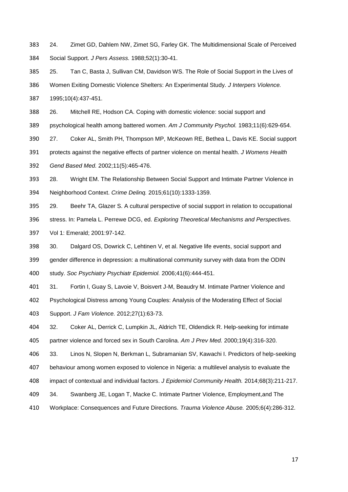<span id="page-17-0"></span>24. Zimet GD, Dahlem NW, Zimet SG, Farley GK. The Multidimensional Scale of Perceived

Social Support. *J Pers Assess.* 1988;52(1):30-41.

<span id="page-17-1"></span> 25. Tan C, Basta J, Sullivan CM, Davidson WS. The Role of Social Support in the Lives of Women Exiting Domestic Violence Shelters: An Experimental Study. *J Interpers Violence.*  1995;10(4):437-451.

<span id="page-17-2"></span>26. Mitchell RE, Hodson CA. Coping with domestic violence: social support and

psychological health among battered women. *Am J Community Psychol.* 1983;11(6):629-654.

<span id="page-17-3"></span>27. Coker AL, Smith PH, Thompson MP, McKeown RE, Bethea L, Davis KE. Social support

protects against the negative effects of partner violence on mental health. *J Womens Health* 

*Gend Based Med.* 2002;11(5):465-476.

<span id="page-17-4"></span> 28. Wright EM. The Relationship Between Social Support and Intimate Partner Violence in Neighborhood Context. *Crime Delinq.* 2015;61(10):1333-1359.

<span id="page-17-5"></span> 29. Beehr TA, Glazer S. A cultural perspective of social support in relation to occupational stress. In: Pamela L. Perrewe DCG, ed. *Exploring Theoretical Mechanisms and Perspectives.* Vol 1: Emerald; 2001:97-142.

<span id="page-17-6"></span> 30. Dalgard OS, Dowrick C, Lehtinen V, et al. Negative life events, social support and gender difference in depression: a multinational community survey with data from the ODIN study. *Soc Psychiatry Psychiatr Epidemiol.* 2006;41(6):444-451.

<span id="page-17-7"></span>31. Fortin I, Guay S, Lavoie V, Boisvert J-M, Beaudry M. Intimate Partner Violence and

- Psychological Distress among Young Couples: Analysis of the Moderating Effect of Social
- Support. *J Fam Violence.* 2012;27(1):63-73.

<span id="page-17-8"></span> 32. Coker AL, Derrick C, Lumpkin JL, Aldrich TE, Oldendick R. Help-seeking for intimate partner violence and forced sex in South Carolina. *Am J Prev Med.* 2000;19(4):316-320.

<span id="page-17-9"></span>33. Linos N, Slopen N, Berkman L, Subramanian SV, Kawachi I. Predictors of help-seeking

behaviour among women exposed to violence in Nigeria: a multilevel analysis to evaluate the

- impact of contextual and individual factors. *J Epidemiol Community Health.* 2014;68(3):211-217.
- <span id="page-17-10"></span>34. Swanberg JE, Logan T, Macke C. Intimate Partner Violence, Employment,and The
- Workplace: Consequences and Future Directions. *Trauma Violence Abuse.* 2005;6(4):286-312.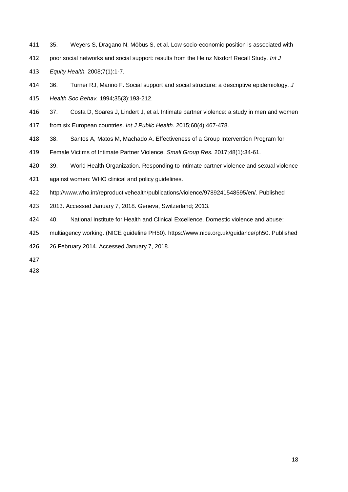- <span id="page-18-0"></span>35. Weyers S, Dragano N, Möbus S, et al. Low socio-economic position is associated with
- poor social networks and social support: results from the Heinz Nixdorf Recall Study. *Int J*

*Equity Health.* 2008;7(1):1-7.

- <span id="page-18-1"></span>36. Turner RJ, Marino F. Social support and social structure: a descriptive epidemiology. *J*
- *Health Soc Behav.* 1994;35(3):193-212.
- <span id="page-18-2"></span>37. Costa D, Soares J, Lindert J, et al. Intimate partner violence: a study in men and women
- from six European countries. *Int J Public Health.* 2015;60(4):467-478.
- <span id="page-18-3"></span>38. Santos A, Matos M, Machado A. Effectiveness of a Group Intervention Program for
- Female Victims of Intimate Partner Violence. *Small Group Res.* 2017;48(1):34-61.
- <span id="page-18-4"></span>39. World Health Organization. Responding to intimate partner violence and sexual violence
- against women: WHO clinical and policy guidelines.
- http://www.who.int/reproductivehealth/publications/violence/9789241548595/en/. Published
- 2013. Accessed January 7, 2018. Geneva, Switzerland; 2013.
- <span id="page-18-5"></span>40. National Institute for Health and Clinical Excellence. Domestic violence and abuse:
- multiagency working. (NICE guideline PH50). https://www.nice.org.uk/guidance/ph50. Published
- 26 February 2014. Accessed January 7, 2018.
-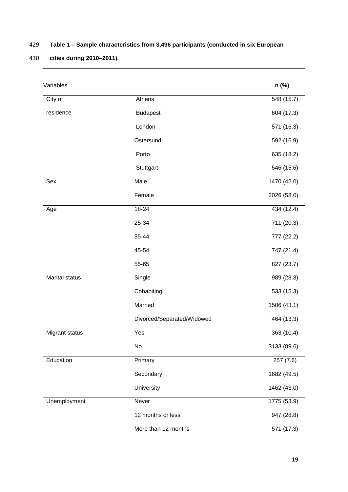## 429 **Table 1 – Sample characteristics from 3,496 participants (conducted in six European**

# 430 **cities during 2010–2011).**

| Variables             |                            | n (%)       |
|-----------------------|----------------------------|-------------|
| City of               | Athens                     | 548 (15.7)  |
| residence             | <b>Budapest</b>            | 604 (17.3)  |
|                       | London                     | 571 (16.3)  |
|                       | Östersund                  | 592 (16.9)  |
|                       | Porto                      | 635 (18.2)  |
|                       | Stuttgart                  | 546 (15.6)  |
| Sex                   | Male                       | 1470 (42.0) |
|                       | Female                     | 2026 (58.0) |
| Age                   | $18 - 24$                  | 434 (12.4)  |
|                       | 25-34                      | 711 (20.3)  |
|                       | 35-44                      | 777 (22.2)  |
|                       | 45-54                      | 747 (21.4)  |
|                       | 55-65                      | 827 (23.7)  |
| <b>Marital status</b> | Single                     | 989(28.3)   |
|                       | Cohabiting                 | 533 (15.3)  |
|                       | Married                    | 1506 (43.1) |
|                       | Divorced/Separated/Widowed | 464 (13.3)  |
| Migrant status        | Yes                        | 363 (10.4)  |
|                       | No                         | 3133 (89.6) |
| Education             | Primary                    | 257(7.6)    |
|                       | Secondary                  | 1682 (49.5) |
|                       | University                 | 1462 (43.0) |
| Unemployment          | Never                      | 1775 (53.9) |
|                       | 12 months or less          | 947 (28.8)  |
|                       | More than 12 months        | 571 (17.3)  |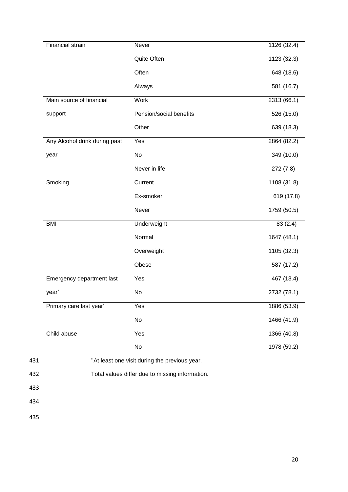| Quite Often<br>Pension/social benefits | 1123 (32.3)<br>648 (18.6)<br>581 (16.7)<br>2313 (66.1)<br>526 (15.0)<br>639 (18.3) |
|----------------------------------------|------------------------------------------------------------------------------------|
|                                        |                                                                                    |
|                                        |                                                                                    |
|                                        |                                                                                    |
|                                        |                                                                                    |
|                                        |                                                                                    |
|                                        |                                                                                    |
|                                        | 2864 (82.2)                                                                        |
|                                        | 349 (10.0)                                                                         |
| Never in life                          | 272 (7.8)                                                                          |
|                                        | 1108(31.8)                                                                         |
| Ex-smoker                              | 619 (17.8)                                                                         |
|                                        | 1759 (50.5)                                                                        |
| Underweight                            | 83 (2.4)                                                                           |
|                                        | 1647 (48.1)                                                                        |
| Overweight                             | 1105 (32.3)                                                                        |
|                                        | 587 (17.2)                                                                         |
|                                        | 467 (13.4)                                                                         |
|                                        | 2732 (78.1)                                                                        |
|                                        | 1886 (53.9)                                                                        |
|                                        | 1466 (41.9)                                                                        |
|                                        | 1366 (40.8)                                                                        |
|                                        | 1978 (59.2)                                                                        |
|                                        |                                                                                    |

433

434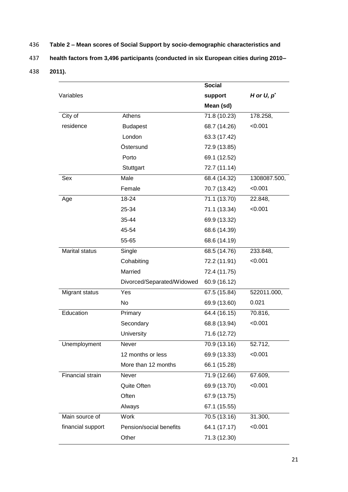436 **Table 2 – Mean scores of Social Support by socio-demographic characteristics and** 

437 **health factors from 3,496 participants (conducted in six European cities during 2010–**

438 **2011).**

|                       |                            | <b>Social</b> |               |
|-----------------------|----------------------------|---------------|---------------|
| Variables             |                            | support       | H or $U, p^*$ |
|                       |                            | Mean (sd)     |               |
| City of               | Athens                     | 71.8 (10.23)  | 178.258,      |
| residence             | <b>Budapest</b>            | 68.7 (14.26)  | < 0.001       |
|                       | London                     | 63.3 (17.42)  |               |
|                       | Östersund                  | 72.9 (13.85)  |               |
|                       | Porto                      | 69.1 (12.52)  |               |
|                       | Stuttgart                  | 72.7 (11.14)  |               |
| Sex                   | Male                       | 68.4 (14.32)  | 1308087.500,  |
|                       | Female                     | 70.7 (13.42)  | < 0.001       |
| Age                   | 18-24                      | 71.1 (13.70)  | 22.848,       |
|                       | 25-34                      | 71.1 (13.34)  | < 0.001       |
|                       | 35-44                      | 69.9 (13.32)  |               |
|                       | 45-54                      | 68.6 (14.39)  |               |
|                       | 55-65                      | 68.6 (14.19)  |               |
| <b>Marital status</b> | Single                     | 68.5 (14.76)  | 233.848,      |
|                       | Cohabiting                 | 72.2 (11.91)  | < 0.001       |
|                       | Married                    | 72.4 (11.75)  |               |
|                       | Divorced/Separated/Widowed | 60.9 (16.12)  |               |
| Migrant status        | Yes                        | 67.5 (15.84)  | 522011.000,   |
|                       | No                         | 69.9 (13.60)  | 0.021         |
| Education             | Primary                    | 64.4 (16.15)  | 70.816,       |
|                       | Secondary                  | 68.8 (13.94)  | < 0.001       |
|                       | University                 | 71.6 (12.72)  |               |
| Unemployment          | <b>Never</b>               | 70.9 (13.16)  | 52.712,       |
|                       | 12 months or less          | 69.9 (13.33)  | < 0.001       |
|                       | More than 12 months        | 66.1 (15.28)  |               |
| Financial strain      | Never                      | 71.9 (12.66)  | 67.609,       |
|                       | Quite Often                | 69.9 (13.70)  | < 0.001       |
|                       | Often                      | 67.9 (13.75)  |               |
|                       | Always                     | 67.1 (15.55)  |               |
| Main source of        | <b>Work</b>                | 70.5 (13.16)  | 31.300,       |
| financial support     | Pension/social benefits    | 64.1 (17.17)  | < 0.001       |
|                       | Other                      | 71.3 (12.30)  |               |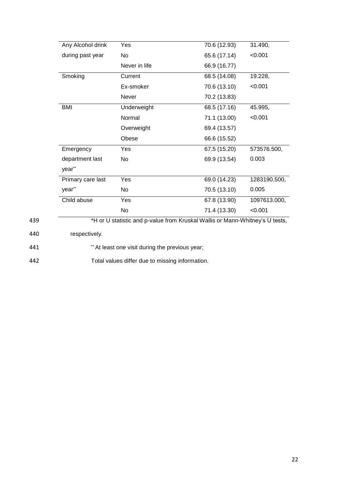| Any Alcohol drink | Yes                                                                          | 70.6 (12.93) | 31.490,      |
|-------------------|------------------------------------------------------------------------------|--------------|--------------|
| during past year  | No                                                                           | 65.6 (17.14) | < 0.001      |
|                   | Never in life                                                                | 66.9 (16.77) |              |
| Smoking           | Current                                                                      | 68.5 (14.08) | 19.228,      |
|                   | Ex-smoker                                                                    | 70.6 (13.10) | < 0.001      |
|                   | Never                                                                        | 70.2 (13.83) |              |
| <b>BMI</b>        | Underweight                                                                  | 68.5 (17.16) | 45.995,      |
|                   | Normal                                                                       | 71.1 (13.00) | < 0.001      |
|                   | Overweight                                                                   | 69.4 (13.57) |              |
|                   | Obese                                                                        | 66.6 (15.52) |              |
| Emergency         | Yes                                                                          | 67.5 (15.20) | 573576.500,  |
| department last   | No                                                                           | 69.9 (13.54) | 0.003        |
| year**            |                                                                              |              |              |
| Primary care last | Yes                                                                          | 69.0 (14.23) | 1283190.500, |
| year**            | No                                                                           | 70.5 (13.10) | 0.005        |
| Child abuse       | Yes                                                                          | 67.8 (13.90) | 1097613.000, |
|                   | No                                                                           | 71.4 (13.30) | < 0.001      |
|                   | *H or U statistic and p-value from Kruskal Wallis or Mann-Whitney's U tests, |              |              |

440 respectively.

441 \*\* At least one visit during the previous year;

442 Total values differ due to missing information.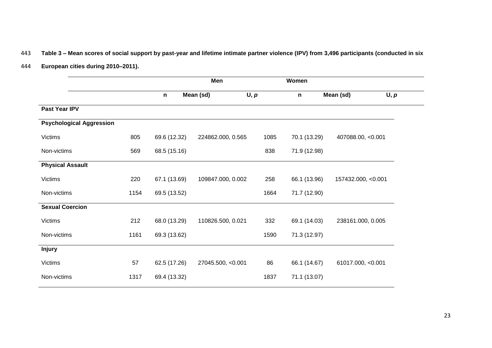## 443 **Table 3 – Mean scores of social support by past-year and lifetime intimate partner violence (IPV) from 3,496 participants (conducted in six**

444 **European cities during 2010–2011).**

|                                 |      | Men          |                   | Women |              |                    |      |
|---------------------------------|------|--------------|-------------------|-------|--------------|--------------------|------|
|                                 |      | n            | Mean (sd)         | U, p  | $\mathsf{n}$ | Mean (sd)          | U, p |
| Past Year IPV                   |      |              |                   |       |              |                    |      |
| <b>Psychological Aggression</b> |      |              |                   |       |              |                    |      |
| <b>Victims</b>                  | 805  | 69.6 (12.32) | 224862.000, 0.565 | 1085  | 70.1 (13.29) | 407088.00, <0.001  |      |
| Non-victims                     | 569  | 68.5 (15.16) |                   | 838   | 71.9 (12.98) |                    |      |
| <b>Physical Assault</b>         |      |              |                   |       |              |                    |      |
| <b>Victims</b>                  | 220  | 67.1 (13.69) | 109847.000, 0.002 | 258   | 66.1 (13.96) | 157432.000, <0.001 |      |
| Non-victims                     | 1154 | 69.5 (13.52) |                   | 1664  | 71.7 (12.90) |                    |      |
| <b>Sexual Coercion</b>          |      |              |                   |       |              |                    |      |
| <b>Victims</b>                  | 212  | 68.0 (13.29) | 110826.500, 0.021 | 332   | 69.1 (14.03) | 238161.000, 0.005  |      |
| Non-victims                     | 1161 | 69.3 (13.62) |                   | 1590  | 71.3 (12.97) |                    |      |
| <b>Injury</b>                   |      |              |                   |       |              |                    |      |
| <b>Victims</b>                  | 57   | 62.5 (17.26) | 27045.500, <0.001 | 86    | 66.1 (14.67) | 61017.000, <0.001  |      |
| Non-victims                     | 1317 | 69.4 (13.32) |                   | 1837  | 71.1 (13.07) |                    |      |
|                                 |      |              |                   |       |              |                    |      |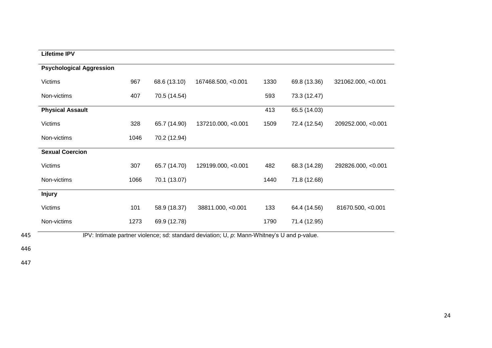| <b>Lifetime IPV</b>             |      |              |                    |      |              |                    |
|---------------------------------|------|--------------|--------------------|------|--------------|--------------------|
| <b>Psychological Aggression</b> |      |              |                    |      |              |                    |
| <b>Victims</b>                  | 967  | 68.6 (13.10) | 167468.500, <0.001 | 1330 | 69.8 (13.36) | 321062.000, <0.001 |
| Non-victims                     | 407  | 70.5 (14.54) |                    | 593  | 73.3 (12.47) |                    |
| <b>Physical Assault</b>         |      |              |                    | 413  | 65.5 (14.03) |                    |
| <b>Victims</b>                  | 328  | 65.7 (14.90) | 137210.000, <0.001 | 1509 | 72.4 (12.54) | 209252.000, <0.001 |
| Non-victims                     | 1046 | 70.2 (12.94) |                    |      |              |                    |
| <b>Sexual Coercion</b>          |      |              |                    |      |              |                    |
| <b>Victims</b>                  | 307  | 65.7 (14.70) | 129199.000, <0.001 | 482  | 68.3 (14.28) | 292826.000, <0.001 |
| Non-victims                     | 1066 | 70.1 (13.07) |                    | 1440 | 71.8 (12.68) |                    |
| <b>Injury</b>                   |      |              |                    |      |              |                    |
| <b>Victims</b>                  | 101  | 58.9 (18.37) | 38811.000, <0.001  | 133  | 64.4 (14.56) | 81670.500, <0.001  |
| Non-victims                     | 1273 | 69.9 (12.78) |                    | 1790 | 71.4 (12.95) |                    |

445 IPV: Intimate partner violence; sd: standard deviation; U, *p*: Mann-Whitney's U and p-value.

446